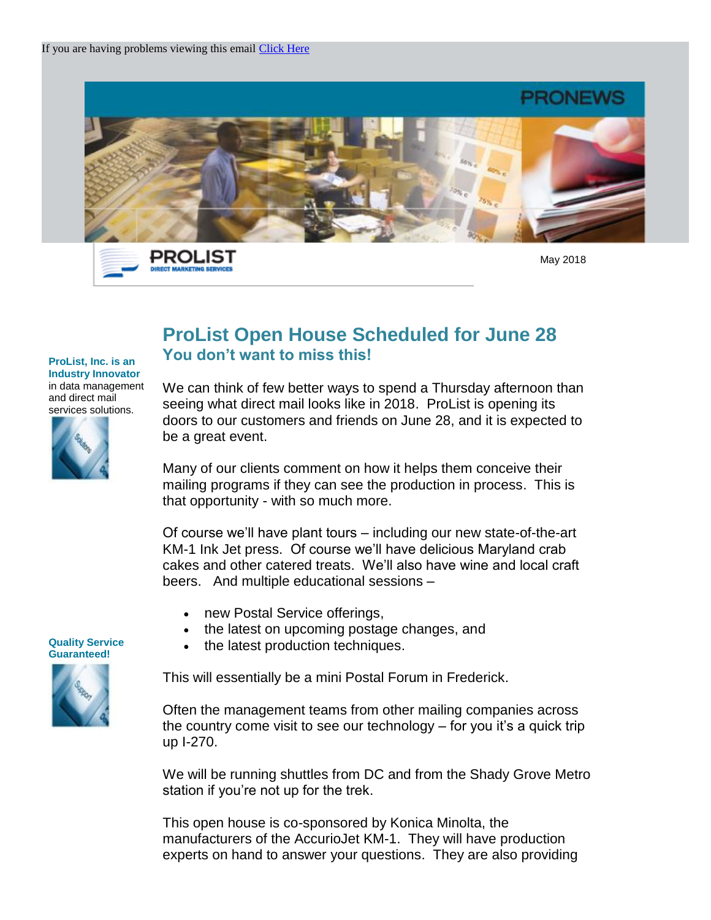

PROLIST **DIRECT MARKETING SER** 

May 2018

## **ProList Open House Scheduled for June 28 You don't want to miss this!**

**ProList, Inc. is an Industry Innovator** in data management and direct mail services solutions.



We can think of few better ways to spend a Thursday afternoon than seeing what direct mail looks like in 2018. ProList is opening its doors to our customers and friends on June 28, and it is expected to be a great event.

Many of our clients comment on how it helps them conceive their mailing programs if they can see the production in process. This is that opportunity - with so much more.

Of course we'll have plant tours – including our new state-of-the-art KM-1 Ink Jet press. Of course we'll have delicious Maryland crab cakes and other catered treats. We'll also have wine and local craft beers. And multiple educational sessions –

- new Postal Service offerings,
- the latest on upcoming postage changes, and
- the latest production techniques.

This will essentially be a mini Postal Forum in Frederick.

Often the management teams from other mailing companies across the country come visit to see our technology – for you it's a quick trip up I-270.

We will be running shuttles from DC and from the Shady Grove Metro station if you're not up for the trek.

This open house is co-sponsored by Konica Minolta, the manufacturers of the AccurioJet KM-1. They will have production experts on hand to answer your questions. They are also providing

**Quality Service Guaranteed!** 

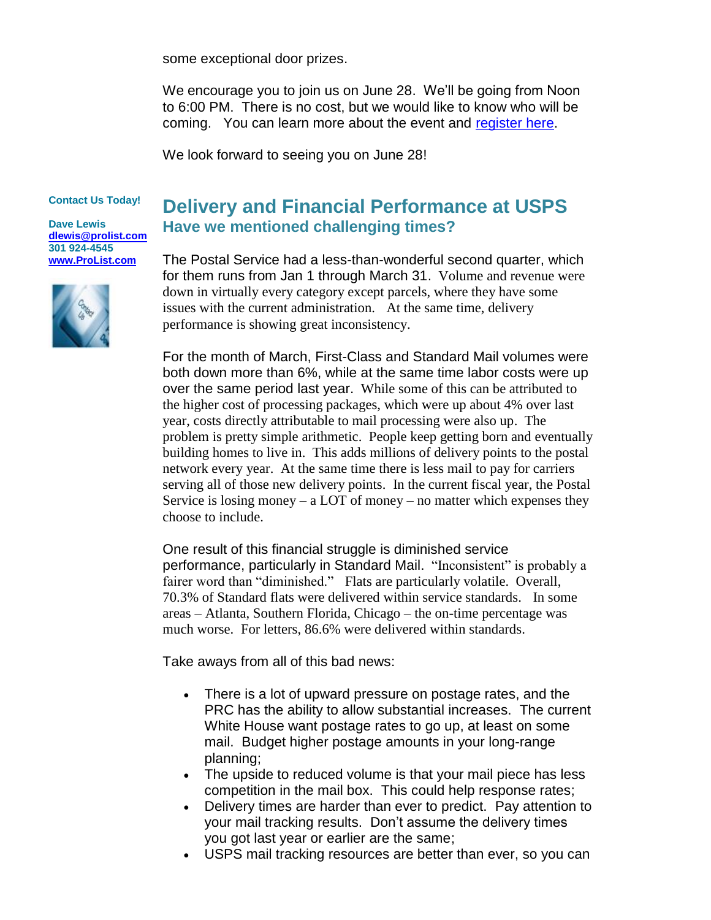some exceptional door prizes.

We encourage you to join us on June 28. We'll be going from Noon to 6:00 PM. There is no cost, but we would like to know who will be coming. You can learn more about the event and [register here.](http://trk.publicaster.com/click/c2f1-pg86w-f16gc8-73hxzcz2/)

We look forward to seeing you on June 28!

## **Contact Us Today!**

**Dave Lewis [dlewis@prolist.com](mailto:dlewis@prolist.com) 301 924-4545 [www.ProList.com](http://trk.publicaster.com/click/c2f1-ujoiw-gvrhvt-73hxzcz6/)**



## **Delivery and Financial Performance at USPS Have we mentioned challenging times?**

The Postal Service had a less-than-wonderful second quarter, which for them runs from Jan 1 through March 31. Volume and revenue were down in virtually every category except parcels, where they have some issues with the current administration. At the same time, delivery performance is showing great inconsistency.

For the month of March, First-Class and Standard Mail volumes were both down more than 6%, while at the same time labor costs were up over the same period last year. While some of this can be attributed to the higher cost of processing packages, which were up about 4% over last year, costs directly attributable to mail processing were also up. The problem is pretty simple arithmetic. People keep getting born and eventually building homes to live in. This adds millions of delivery points to the postal network every year. At the same time there is less mail to pay for carriers serving all of those new delivery points. In the current fiscal year, the Postal Service is losing money – a LOT of money – no matter which expenses they choose to include.

One result of this financial struggle is diminished service performance, particularly in Standard Mail. "Inconsistent" is probably a fairer word than "diminished." Flats are particularly volatile. Overall, 70.3% of Standard flats were delivered within service standards. In some areas – Atlanta, Southern Florida, Chicago – the on-time percentage was much worse. For letters, 86.6% were delivered within standards.

Take aways from all of this bad news:

- There is a lot of upward pressure on postage rates, and the PRC has the ability to allow substantial increases. The current White House want postage rates to go up, at least on some mail. Budget higher postage amounts in your long-range planning;
- The upside to reduced volume is that your mail piece has less competition in the mail box. This could help response rates;
- Delivery times are harder than ever to predict. Pay attention to your mail tracking results. Don't assume the delivery times you got last year or earlier are the same;
- USPS mail tracking resources are better than ever, so you can